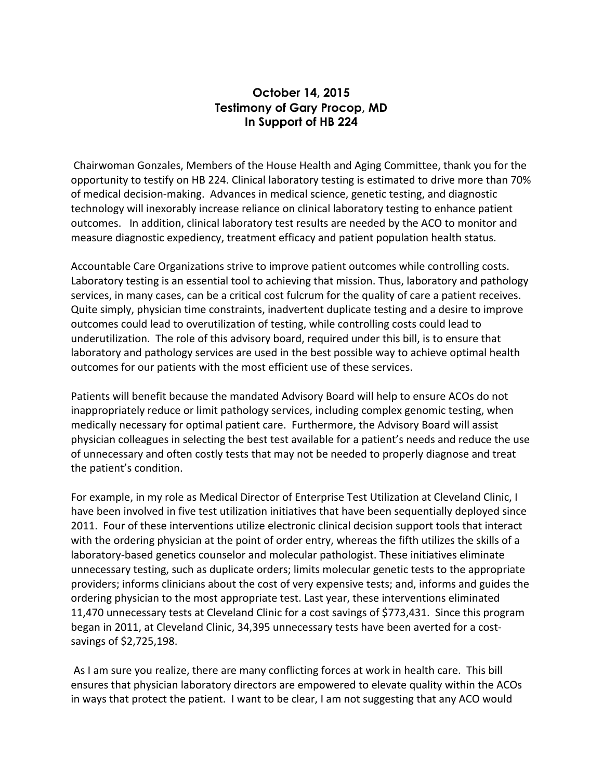## **October 14, 2015 Testimony of Gary Procop, MD In Support of HB 224**

Chairwoman Gonzales, Members of the House Health and Aging Committee, thank you for the opportunity to testify on HB 224. Clinical laboratory testing is estimated to drive more than 70% of medical decision-making. Advances in medical science, genetic testing, and diagnostic technology will inexorably increase reliance on clinical laboratory testing to enhance patient outcomes. In addition, clinical laboratory test results are needed by the ACO to monitor and measure diagnostic expediency, treatment efficacy and patient population health status.

Accountable Care Organizations strive to improve patient outcomes while controlling costs. Laboratory testing is an essential tool to achieving that mission. Thus, laboratory and pathology services, in many cases, can be a critical cost fulcrum for the quality of care a patient receives. Quite simply, physician time constraints, inadvertent duplicate testing and a desire to improve outcomes could lead to overutilization of testing, while controlling costs could lead to underutilization. The role of this advisory board, required under this bill, is to ensure that laboratory and pathology services are used in the best possible way to achieve optimal health outcomes for our patients with the most efficient use of these services.

Patients will benefit because the mandated Advisory Board will help to ensure ACOs do not inappropriately reduce or limit pathology services, including complex genomic testing, when medically necessary for optimal patient care. Furthermore, the Advisory Board will assist physician colleagues in selecting the best test available for a patient's needs and reduce the use of unnecessary and often costly tests that may not be needed to properly diagnose and treat the patient's condition.

For example, in my role as Medical Director of Enterprise Test Utilization at Cleveland Clinic, I have been involved in five test utilization initiatives that have been sequentially deployed since 2011. Four of these interventions utilize electronic clinical decision support tools that interact with the ordering physician at the point of order entry, whereas the fifth utilizes the skills of a laboratory-based genetics counselor and molecular pathologist. These initiatives eliminate unnecessary testing, such as duplicate orders; limits molecular genetic tests to the appropriate providers; informs clinicians about the cost of very expensive tests; and, informs and guides the ordering physician to the most appropriate test. Last year, these interventions eliminated 11,470 unnecessary tests at Cleveland Clinic for a cost savings of \$773,431. Since this program began in 2011, at Cleveland Clinic, 34,395 unnecessary tests have been averted for a costsavings of \$2,725,198.

As I am sure you realize, there are many conflicting forces at work in health care. This bill ensures that physician laboratory directors are empowered to elevate quality within the ACOs in ways that protect the patient. I want to be clear, I am not suggesting that any ACO would